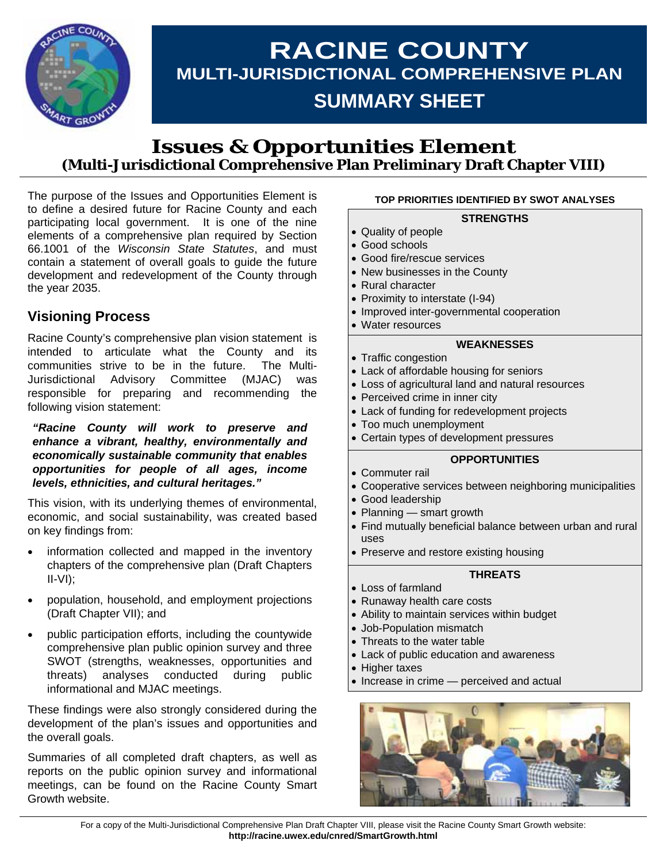

# **RACINE COUNTY MULTI-JURISDICTIONAL COMPREHENSIVE PLAN SUMMARY SHEET**

### **Issues & Opportunities Element (Multi-Jurisdictional Comprehensive Plan Preliminary Draft Chapter VIII)**

The purpose of the Issues and Opportunities Element is to define a desired future for Racine County and each participating local government. It is one of the nine elements of a comprehensive plan required by Section 66.1001 of the *Wisconsin State Statutes*, and must contain a statement of overall goals to guide the future development and redevelopment of the County through the year 2035.

### **Visioning Process**

Racine County's comprehensive plan vision statement is intended to articulate what the County and its communities strive to be in the future. The Multi-Jurisdictional Advisory Committee (MJAC) was responsible for preparing and recommending the following vision statement:

*"Racine County will work to preserve and enhance a vibrant, healthy, environmentally and economically sustainable community that enables opportunities for people of all ages, income levels, ethnicities, and cultural heritages."*

This vision, with its underlying themes of environmental, economic, and social sustainability, was created based on key findings from:

- information collected and mapped in the inventory chapters of the comprehensive plan (Draft Chapters II-VI);
- population, household, and employment projections (Draft Chapter VII); and
- public participation efforts, including the countywide comprehensive plan public opinion survey and three SWOT (strengths, weaknesses, opportunities and threats) analyses conducted during public informational and MJAC meetings.

These findings were also strongly considered during the development of the plan's issues and opportunities and the overall goals.

Summaries of all completed draft chapters, as well as reports on the public opinion survey and informational meetings, can be found on the Racine County Smart Growth website.

#### **TOP PRIORITIES IDENTIFIED BY SWOT ANALYSES**

#### **STRENGTHS**

- Quality of people
- Good schools
- Good fire/rescue services
- New businesses in the County
- Rural character
- Proximity to interstate (I-94)
- Improved inter-governmental cooperation
- Water resources

#### **WEAKNESSES**

- Traffic congestion
- Lack of affordable housing for seniors
- Loss of agricultural land and natural resources
- Perceived crime in inner city
- Lack of funding for redevelopment projects
- Too much unemployment
- Certain types of development pressures

#### **OPPORTUNITIES**

- Commuter rail
- Cooperative services between neighboring municipalities
- Good leadership
- Planning smart growth
- Find mutually beneficial balance between urban and rural uses
- Preserve and restore existing housing

#### **THREATS**

- Loss of farmland
- Runaway health care costs
- Ability to maintain services within budget
- Job-Population mismatch
- Threats to the water table
- Lack of public education and awareness
- Higher taxes
- Increase in crime perceived and actual

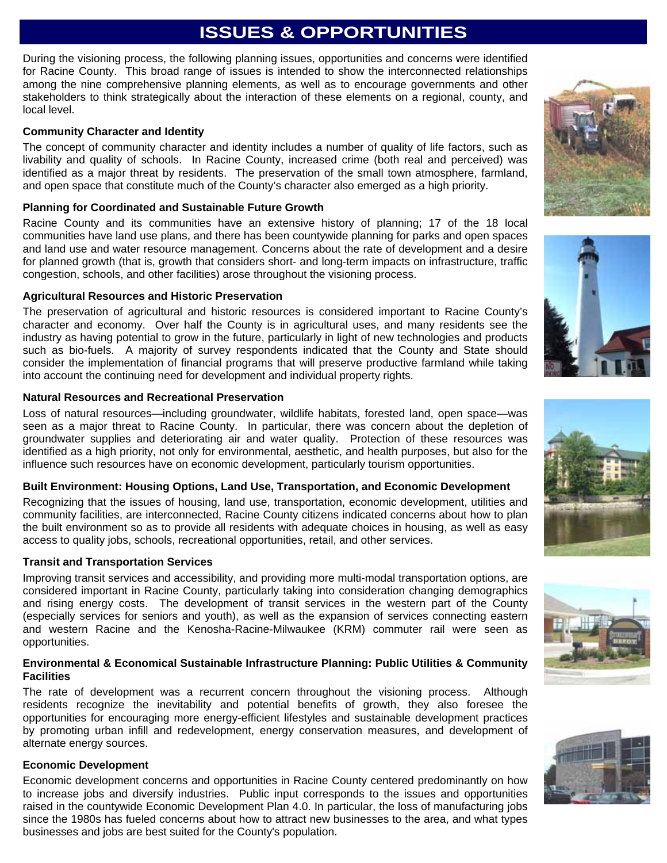## **ISSUES & OPPORTUNITIES**

During the visioning process, the following planning issues, opportunities and concerns were identified for Racine County. This broad range of issues is intended to show the interconnected relationships among the nine comprehensive planning elements, as well as to encourage governments and other stakeholders to think strategically about the interaction of these elements on a regional, county, and local level.

#### **Community Character and Identity**

The concept of community character and identity includes a number of quality of life factors, such as livability and quality of schools. In Racine County, increased crime (both real and perceived) was identified as a major threat by residents. The preservation of the small town atmosphere, farmland, and open space that constitute much of the County's character also emerged as a high priority.

#### **Planning for Coordinated and Sustainable Future Growth**

Racine County and its communities have an extensive history of planning; 17 of the 18 local communities have land use plans, and there has been countywide planning for parks and open spaces and land use and water resource management. Concerns about the rate of development and a desire for planned growth (that is, growth that considers short- and long-term impacts on infrastructure, traffic congestion, schools, and other facilities) arose throughout the visioning process.

#### **Agricultural Resources and Historic Preservation**

The preservation of agricultural and historic resources is considered important to Racine County's character and economy. Over half the County is in agricultural uses, and many residents see the industry as having potential to grow in the future, particularly in light of new technologies and products such as bio-fuels. A majority of survey respondents indicated that the County and State should consider the implementation of financial programs that will preserve productive farmland while taking into account the continuing need for development and individual property rights.

#### **Natural Resources and Recreational Preservation**

Loss of natural resources—including groundwater, wildlife habitats, forested land, open space—was seen as a major threat to Racine County. In particular, there was concern about the depletion of groundwater supplies and deteriorating air and water quality. Protection of these resources was identified as a high priority, not only for environmental, aesthetic, and health purposes, but also for the influence such resources have on economic development, particularly tourism opportunities.

#### **Built Environment: Housing Options, Land Use, Transportation, and Economic Development**

Recognizing that the issues of housing, land use, transportation, economic development, utilities and community facilities, are interconnected, Racine County citizens indicated concerns about how to plan the built environment so as to provide all residents with adequate choices in housing, as well as easy access to quality jobs, schools, recreational opportunities, retail, and other services.

#### **Transit and Transportation Services**

Improving transit services and accessibility, and providing more multi-modal transportation options, are considered important in Racine County, particularly taking into consideration changing demographics and rising energy costs. The development of transit services in the western part of the County (especially services for seniors and youth), as well as the expansion of services connecting eastern and western Racine and the Kenosha-Racine-Milwaukee (KRM) commuter rail were seen as opportunities.

#### **Environmental & Economical Sustainable Infrastructure Planning: Public Utilities & Community Facilities**

The rate of development was a recurrent concern throughout the visioning process. Although residents recognize the inevitability and potential benefits of growth, they also foresee the opportunities for encouraging more energy-efficient lifestyles and sustainable development practices by promoting urban infill and redevelopment, energy conservation measures, and development of alternate energy sources.

#### **Economic Development**

Economic development concerns and opportunities in Racine County centered predominantly on how to increase jobs and diversify industries. Public input corresponds to the issues and opportunities raised in the countywide Economic Development Plan 4.0. In particular, the loss of manufacturing jobs since the 1980s has fueled concerns about how to attract new businesses to the area, and what types businesses and jobs are best suited for the County's population.